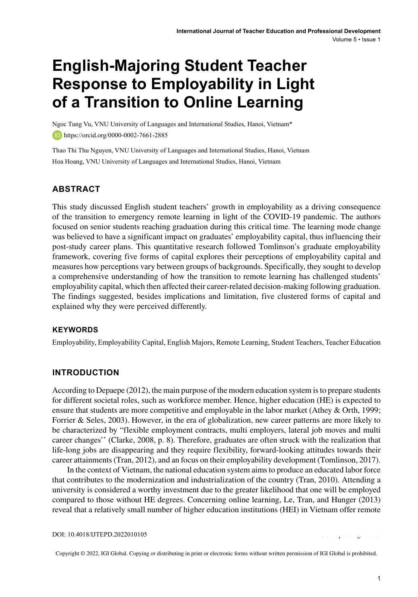# **English-Majoring Student Teacher Response to Employability in Light of a Transition to Online Learning**

Ngoc Tung Vu, VNU University of Languages and International Studies, Hanoi, Vietnam\* **https://orcid.org/0000-0002-7661-2885** 

Thao Thi Thu Nguyen, VNU University of Languages and International Studies, Hanoi, Vietnam Hoa Hoang, VNU University of Languages and International Studies, Hanoi, Vietnam

# **ABSTRACT**

This study discussed English student teachers' growth in employability as a driving consequence of the transition to emergency remote learning in light of the COVID-19 pandemic. The authors focused on senior students reaching graduation during this critical time. The learning mode change was believed to have a significant impact on graduates' employability capital, thus influencing their post-study career plans. This quantitative research followed Tomlinson's graduate employability framework, covering five forms of capital explores their perceptions of employability capital and measures how perceptions vary between groups of backgrounds. Specifically, they sought to develop a comprehensive understanding of how the transition to remote learning has challenged students' employability capital, which then affected their career-related decision-making following graduation. The findings suggested, besides implications and limitation, five clustered forms of capital and explained why they were perceived differently.

## **Keywords**

Employability, Employability Capital, English Majors, Remote Learning, Student Teachers, Teacher Education

## **INTRODUCTION**

According to Depaepe (2012), the main purpose of the modern education system isto prepare students for different societal roles, such as workforce member. Hence, higher education (HE) is expected to ensure that students are more competitive and employable in the labor market (Athey & Orth, 1999; Forrier & Seles, 2003). However, in the era of globalization, new career patterns are more likely to be characterized by "flexible employment contracts, multi employers, lateral job moves and multi career changes'' (Clarke, 2008, p. 8). Therefore, graduates are often struck with the realization that life-long jobs are disappearing and they require flexibility, forward-looking attitudes towards their career attainments(Tran, 2012), and an focus on their employability development (Tomlinson, 2017).

In the context of Vietnam, the national education system aimsto produce an educated labor force that contributes to the modernization and industrialization of the country (Tran, 2010). Attending a university is considered a worthy investment due to the greater likelihood that one will be employed compared to those without HE degrees. Concerning online learning, Le, Tran, and Hunger (2013) reveal that a relatively small number of higher education institutions (HEI) in Vietnam offer remote

DOI: 10.4018/IJTEPD.2022010105

Copyright © 2022, IGI Global. Copying or distributing in print or electronic forms without written permission of IGI Global is prohibited.

\*Corresponding Author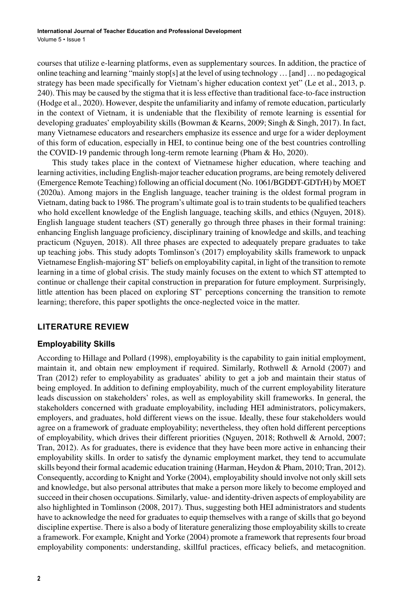courses that utilize e-learning platforms, even as supplementary sources. In addition, the practice of online teaching and learning "mainly stop[s] at the level of using technology…[and]…no pedagogical strategy has been made specifically for Vietnam's higher education context yet" (Le et al., 2013, p. 240). This may be caused by the stigma that it isless effective than traditional face-to-face instruction (Hodge et al., 2020). However, despite the unfamiliarity and infamy of remote education, particularly in the context of Vietnam, it is undeniable that the flexibility of remote learning is essential for developing graduates' employability skills (Bowman & Kearns, 2009; Singh & Singh, 2017). In fact, many Vietnamese educators and researchers emphasize its essence and urge for a wider deployment of this form of education, especially in HEI, to continue being one of the best countries controlling the COVID-19 pandemic through long-term remote learning (Pham & Ho, 2020).

This study takes place in the context of Vietnamese higher education, where teaching and learning activities, including English-major teacher education programs, are being remotely delivered (Emergence Remote Teaching) following an official document (No. 1061/BGDĐT-GDTrH) by MOET (2020a). Among majors in the English language, teacher training is the oldest formal program in Vietnam, dating back to 1986. The program's ultimate goal isto train studentsto be qualified teachers who hold excellent knowledge of the English language, teaching skills, and ethics (Nguyen, 2018). English language student teachers (ST) generally go through three phases in their formal training: enhancing English language proficiency, disciplinary training of knowledge and skills, and teaching practicum (Nguyen, 2018). All three phases are expected to adequately prepare graduates to take up teaching jobs. This study adopts Tomlinson's (2017) employability skills framework to unpack Vietnamese English-majoring ST' beliefs on employability capital, in light of the transition to remote learning in a time of global crisis. The study mainly focuses on the extent to which ST attempted to continue or challenge their capital construction in preparation for future employment. Surprisingly, little attention has been placed on exploring ST' perceptions concerning the transition to remote learning; therefore, this paper spotlights the once-neglected voice in the matter.

# **LITERATURE REVIEW**

# **Employability Skills**

According to Hillage and Pollard (1998), employability is the capability to gain initial employment, maintain it, and obtain new employment if required. Similarly, Rothwell & Arnold (2007) and Tran (2012) refer to employability as graduates' ability to get a job and maintain their status of being employed. In addition to defining employability, much of the current employability literature leads discussion on stakeholders' roles, as well as employability skill frameworks. In general, the stakeholders concerned with graduate employability, including HEI administrators, policymakers, employers, and graduates, hold different views on the issue. Ideally, these four stakeholders would agree on a framework of graduate employability; nevertheless, they often hold different perceptions of employability, which drives their different priorities (Nguyen, 2018; Rothwell & Arnold, 2007; Tran, 2012). As for graduates, there is evidence that they have been more active in enhancing their employability skills. In order to satisfy the dynamic employment market, they tend to accumulate skills beyond their formal academic education training (Harman, Heydon & Pham, 2010; Tran, 2012). Consequently, according to Knight and Yorke (2004), employability should involve not only skill sets and knowledge, but also personal attributes that make a person more likely to become employed and succeed in their chosen occupations. Similarly, value- and identity-driven aspects of employability are also highlighted in Tomlinson (2008, 2017). Thus, suggesting both HEI administrators and students have to acknowledge the need for graduates to equip themselves with a range of skills that go beyond discipline expertise. There is also a body of literature generalizing those employability skills to create a framework. For example, Knight and Yorke (2004) promote a framework that represents four broad employability components: understanding, skillful practices, efficacy beliefs, and metacognition.